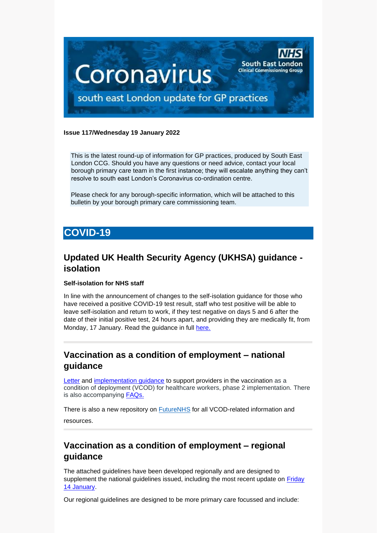

#### **Issue 117/Wednesday 19 January 2022**

This is the latest round-up of information for GP practices, produced by South East London CCG. Should you have any questions or need advice, contact your local borough primary care team in the first instance; they will escalate anything they can't resolve to south east London's Coronavirus co-ordination centre.

Please check for any borough-specific information, which will be attached to this bulletin by your borough primary care commissioning team.

# **COVID-19**

# **Updated UK Health Security Agency (UKHSA) guidance isolation**

#### **Self-isolation for NHS staff**

In line with the announcement of changes to the self-isolation guidance for those who have received a positive COVID-19 test result, staff who test positive will be able to leave self-isolation and return to work, if they test negative on days 5 and 6 after the date of their initial positive test, 24 hours apart, and providing they are medically fit, from Monday, 17 January. Read the guidance in full [here.](https://selondonccg.nhs.uk/wp-content/uploads/2022/01/C1543_Letter-re-updated-UKHSA-guidance-isolation_140122.pdf)

### **Vaccination as a condition of employment – national guidance**

[Letter](https://selondonccg.nhs.uk/wp-content/uploads/2022/01/C1546-letter-vcod-for-healthcare-workers-phase-2.pdf) and [implementation guidance](https://selondonccg.nhs.uk/wp-content/uploads/2022/01/C1545-update-vcod-for-healthcare-workers-phase-2-implementation.pdf) to support providers in the vaccination as a condition of deployment (VCOD) for healthcare workers, phase 2 implementation. There is also accompanying [FAQs.](https://selondonccg.nhs.uk/wp-content/uploads/2022/01/C1547_VCOD-FAQs_140122.pdf)

There is also a new repository on [FutureNHS](https://healthcareleadersupdate.cmail20.com/t/d-l-aklljik-ttjhtjudo-i/) for all VCOD-related information and resources.

# **Vaccination as a condition of employment – regional guidance**

The attached guidelines have been developed regionally and are designed to supplement the national guidelines issued, including the most recent update on [Friday](https://www.england.nhs.uk/coronavirus/wp-content/uploads/sites/52/2022/01/C1545-update-vcod-for-healthcare-workers-phase-2-implementation.pdf)  [14 January.](https://www.england.nhs.uk/coronavirus/wp-content/uploads/sites/52/2022/01/C1545-update-vcod-for-healthcare-workers-phase-2-implementation.pdf)

Our regional guidelines are designed to be more primary care focussed and include: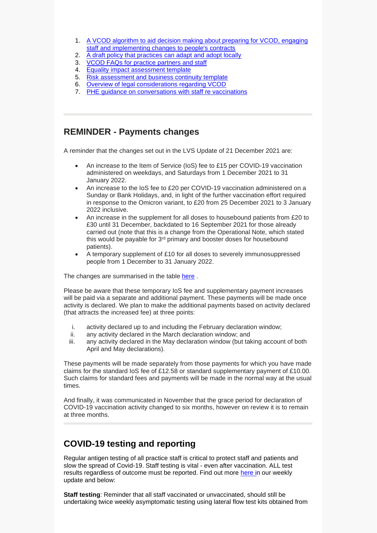- 1. [A VCOD algorithm to aid decision making about preparing for VCOD, engaging](https://selondonccg.nhs.uk/wp-content/uploads/2022/01/Primary-Care-VCOD-algorithm.pdf)  [staff and implementing changes to people's contracts](https://selondonccg.nhs.uk/wp-content/uploads/2022/01/Primary-Care-VCOD-algorithm.pdf)
- 2. [A draft policy that practices can adapt and adopt locally](https://selondonccg.nhs.uk/wp-content/uploads/2022/01/VCOD-draft-policy-for-General-Practice.docx)
- 3. [VCOD FAQs for practice partners and staff](https://selondonccg.nhs.uk/wp-content/uploads/2022/01/VCOD-FAQs-for-Primary-Care-employers.pdf)
- 4. [Equality impact assessment template](https://selondonccg.nhs.uk/wp-content/uploads/2022/01/VCOD-equality-impact-assessment-template.docx)
- 5. [Risk assessment and business continuity template](https://selondonccg.nhs.uk/wp-content/uploads/2022/01/VCOD-risk-assessment-and-business-continuity.pptx)
- 6. [Overview of legal considerations regarding VCOD](https://selondonccg.nhs.uk/wp-content/uploads/2022/01/DAC-Beachcroft-VCOD-overview-Dec-21.pdf)
- 7. [PHE guidance on conversations with staff re vaccinations](https://selondonccg.nhs.uk/wp-content/uploads/2022/01/PHE-Confident-vaccine-conversations.pdf)

#### **REMINDER - Payments changes**

A reminder that the changes set out in the LVS Update of 21 December 2021 are:

- An increase to the Item of Service (IoS) fee to £15 per COVID-19 vaccination administered on weekdays, and Saturdays from 1 December 2021 to 31 January 2022.
- An increase to the IoS fee to £20 per COVID-19 vaccination administered on a Sunday or Bank Holidays, and, in light of the further vaccination effort required in response to the Omicron variant, to £20 from 25 December 2021 to 3 January 2022 inclusive.
- An increase in the supplement for all doses to housebound patients from £20 to £30 until 31 December, backdated to 16 September 2021 for those already carried out (note that this is a change from the Operational Note, which stated this would be payable for 3<sup>rd</sup> primary and booster doses for housebound patients).
- A temporary supplement of £10 for all doses to severely immunosuppressed people from 1 December to 31 January 2022.

The changes are summarised in the table [here](https://future.nhs.uk/P_C_N/viewdocument?docid=121348293&done=DOCCreated1&fid=24899536).

Please be aware that these temporary IoS fee and supplementary payment increases will be paid via a separate and additional payment. These payments will be made once activity is declared. We plan to make the additional payments based on activity declared (that attracts the increased fee) at three points:

- i. activity declared up to and including the February declaration window;
- ii. any activity declared in the March declaration window; and
- iii. any activity declared in the May declaration window (but taking account of both April and May declarations).

These payments will be made separately from those payments for which you have made claims for the standard IoS fee of £12.58 or standard supplementary payment of £10.00. Such claims for standard fees and payments will be made in the normal way at the usual times.

And finally, it was communicated in November that the grace period for declaration of COVID-19 vaccination activity changed to six months, however on review it is to remain at three months.

# **COVID-19 testing and reporting**

Regular antigen testing of all practice staff is critical to protect staff and patients and slow the spread of Covid-19. Staff testing is vital - even after vaccination. ALL test results regardless of outcome must be reported. Find out more [here](https://selondonccg.nhs.uk/wp-content/uploads/2022/01/Key-messages-for-GP-weekly-bulletin-14-January-2022.pdf) in our weekly update and below:

**Staff testing**: Reminder that all staff vaccinated or unvaccinated, should still be undertaking twice weekly asymptomatic testing using lateral flow test kits obtained from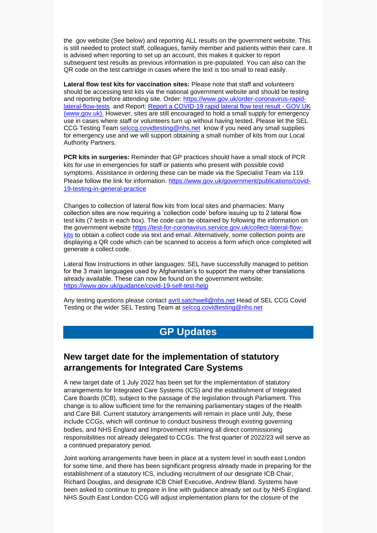the .gov website (See below) and reporting ALL results on the government website. This is still needed to protect staff, colleagues, family member and patients within their care. It is advised when reporting to set up an account, this makes it quicker to report subsequent test results as previous information is pre-populated. You can also can the QR code on the test cartridge in cases where the text is too small to read easily.

**Lateral flow test kits for vaccination sites:** Please note that staff and volunteers should be accessing test kits via the national government website and should be testing and reporting before attending site. Order: [https://www.gov.uk/order-coronavirus-rapid](https://www.gov.uk/order-coronavirus-rapid-lateral-flow-tests)[lateral-flow-tests](https://www.gov.uk/order-coronavirus-rapid-lateral-flow-tests) and Report: [Report a COVID-19 rapid lateral flow test result -](https://www.gov.uk/report-covid19-result) GOV.UK [\(www.gov.uk\).](https://www.gov.uk/report-covid19-result) However, sites are still encouraged to hold a small supply for emergency use in cases where staff or volunteers turn up without having tested. Please let the SEL CCG Testing Team [selccg.covidtesting@nhs.net](mailto:selccg.covidtesting@nhs.net) know if you need any small supplies for emergency use and we will support obtaining a small number of kits from our Local Authority Partners.

**PCR kits in surgeries:** Reminder that GP practices should have a small stock of PCR kits for use in emergencies for staff or patients who present with possible covid symptoms. Assistance in ordering these can be made via the Specialist Team via 119. Please follow the link for information. [https://www.gov.uk/government/publications/covid-](https://www.gov.uk/government/publications/covid-19-testing-in-general-practice)[19-testing-in-general-practice](https://www.gov.uk/government/publications/covid-19-testing-in-general-practice)

Changes to collection of lateral flow kits from local sites and pharmacies: Many collection sites are now requiring a 'collection code' before issuing up to 2 lateral flow test kits (7 tests in each box). The code can be obtained by following the information on the government website [https://test-for-coronavirus.service.gov.uk/collect-lateral-flow](https://test-for-coronavirus.service.gov.uk/collect-lateral-flow-kits)[kits](https://test-for-coronavirus.service.gov.uk/collect-lateral-flow-kits) to obtain a collect code via text and email. Alternatively, some collection points are displaying a QR code which can be scanned to access a form which once completed will generate a collect code.

Lateral flow Instructions in other languages: SEL have successfully managed to petition for the 3 main languages used by Afghanistan's to support the many other translations already available. These can now be found on the government website: <https://www.gov.uk/guidance/covid-19-self-test-help>

Any testing questions please contact [avril.satchwell@nhs.net](mailto:avril.satchwell@nhs.net) Head of SEL CCG Covid Testing or the wider SEL Testing Team at [selccg.covidtesting@nhs.net](mailto:selccg.covidtesting@nhs.net)

# **GP Updates**

## **New target date for the implementation of statutory arrangements for Integrated Care Systems**

A new target date of 1 July 2022 has been set for the implementation of statutory arrangements for Integrated Care Systems (ICS) and the establishment of Integrated Care Boards (ICB), subject to the passage of the legislation through Parliament. This change is to allow sufficient time for the remaining parliamentary stages of the Health and Care Bill. Current statutory arrangements will remain in place until July, these include CCGs, which will continue to conduct business through existing governing bodies, and NHS England and Improvement retaining all direct commissioning responsibilities not already delegated to CCGs. The first quarter of 2022/23 will serve as a continued preparatory period.

Joint working arrangements have been in place at a system level in south east London for some time, and there has been significant progress already made in preparing for the establishment of a statutory ICS, including recruitment of our designate ICB Chair, Richard Douglas, and designate ICB Chief Executive, Andrew Bland. Systems have been asked to continue to prepare in line with guidance already set out by NHS England. NHS South East London CCG will adjust implementation plans for the closure of the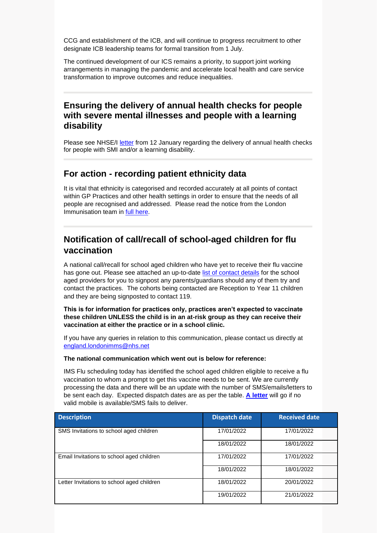CCG and establishment of the ICB, and will continue to progress recruitment to other designate ICB leadership teams for formal transition from 1 July.

The continued development of our ICS remains a priority, to support joint working arrangements in managing the pandemic and accelerate local health and care service transformation to improve outcomes and reduce inequalities.

#### **Ensuring the delivery of annual health checks for people with severe mental illnesses and people with a learning disability**

Please see NHSE/I [letter](https://selondonccg.nhs.uk/wp-content/uploads/2022/01/B1268_Letter-re-delivery-of-annual-health-checks-for-people-with-severe-mental-illnesses-andor-learning-disability_January-22.pdf) from 12 January regarding the delivery of annual health checks for people with SMI and/or a learning disability.

#### **For action - recording patient ethnicity data**

It is vital that ethnicity is categorised and recorded accurately at all points of contact within GP Practices and other health settings in order to ensure that the needs of all people are recognised and addressed. Please read the notice from the London Immunisation team in [full here.](https://selondonccg.nhs.uk/wp-content/uploads/2022/01/Recording-patient-ethnicity-data.pdf)

## **Notification of call/recall of school-aged children for flu vaccination**

A national call/recall for school aged children who have yet to receive their flu vaccine has gone out. Please see attached an up-to-date [list of contact details](https://selondonccg.nhs.uk/wp-content/uploads/2022/01/School-Aged-Vaccination-Providers-January-2022-Contact-Details.docx) for the school aged providers for you to signpost any parents/guardians should any of them try and contact the practices. The cohorts being contacted are Reception to Year 11 children and they are being signposted to contact 119.

**This is for information for practices only, practices aren't expected to vaccinate these children UNLESS the child is in an at-risk group as they can receive their vaccination at either the practice or in a school clinic.**

If you have any queries in relation to this communication, please contact us directly at [england.londonimms@nhs.net](mailto:england.londonimms@nhs.net)

#### **The national communication which went out is below for reference:**

IMS Flu scheduling today has identified the school aged children eligible to receive a flu vaccination to whom a prompt to get this vaccine needs to be sent. We are currently processing the data and there will be an update with the number of SMS/emails/letters to be sent each day. Expected dispatch dates are as per the table. **[A letter](https://selondonccg.nhs.uk/wp-content/uploads/2022/01/Flu_Invite_SchoolAged-13.01.2022_1506.pdf)** will go if no valid mobile is available/SMS fails to deliver.

| <b>Description</b>                         | <b>Dispatch date</b> | <b>Received date</b> |
|--------------------------------------------|----------------------|----------------------|
| SMS Invitations to school aged children    | 17/01/2022           | 17/01/2022           |
|                                            | 18/01/2022           | 18/01/2022           |
| Email Invitations to school aged children  | 17/01/2022           | 17/01/2022           |
|                                            | 18/01/2022           | 18/01/2022           |
| Letter Invitations to school aged children | 18/01/2022           | 20/01/2022           |
|                                            | 19/01/2022           | 21/01/2022           |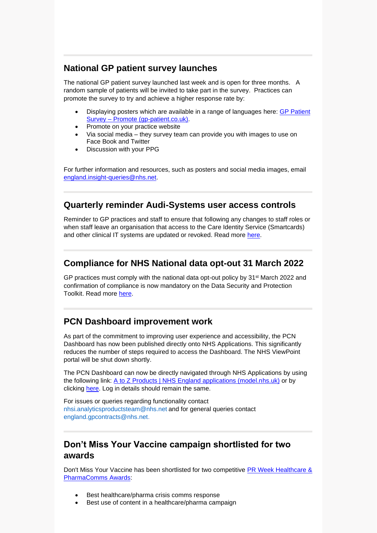## **National GP patient survey launches**

The national GP patient survey launched last week and is open for three months. A random sample of patients will be invited to take part in the survey. Practices can promote the survey to try and achieve a higher response rate by:

- Displaying posters which are available in a range of languages here: [GP Patient](https://gp-patient.co.uk/promote)  Survey – [Promote \(gp-patient.co.uk\).](https://gp-patient.co.uk/promote)
- Promote on your practice website
- Via social media they survey team can provide you with images to use on Face Book and Twitter
- Discussion with your PPG

For further information and resources, such as posters and social media images, email [england.insight-queries@nhs.net.](mailto:england.insight-queries@nhs.net)

## **Quarterly reminder Audi-Systems user access controls**

Reminder to GP practices and staff to ensure that following any changes to staff roles or when staff leave an organisation that access to the Care Identity Service (Smartcards) and other clinical IT systems are updated or revoked. Read more [here.](https://selondonccg.nhs.uk/wp-content/uploads/2022/01/20220112-Bulletin-RA-Audit-due-Q.pdf)

# **Compliance for NHS National data opt-out 31 March 2022**

GP practices must comply with the national data opt-out policy by  $31<sup>st</sup>$  March 2022 and confirmation of compliance is now mandatory on the Data Security and Protection Toolkit. Read more [here.](https://selondonccg.nhs.uk/wp-content/uploads/2022/01/20220113-GP-Bulletin-NDOO-Final.docx)

# **PCN Dashboard improvement work**

As part of the commitment to improving user experience and accessibility, the PCN Dashboard has now been published directly onto NHS Applications. This significantly reduces the number of steps required to access the Dashboard. The NHS ViewPoint portal will be shut down shortly.

The PCN Dashboard can now be directly navigated through NHS Applications by using the following link: [A to Z Products | NHS England applications \(model.nhs.uk\)](https://apps.model.nhs.uk/a-z) or by clicking [here.](https://tabanalytics.data.england.nhs.uk/#/views/PCN/ServiceSpecifications?:iid=1) Log in details should remain the same.

For issues or queries regarding functionality contact [nhsi.analyticsproductsteam@nhs.net](mailto:nhsi.analyticsproductsteam@nhs.net) and for general queries contact [england.gpcontracts@nhs.net.](mailto:england.gpcontracts@nhs.net)

### **Don't Miss Your Vaccine campaign shortlisted for two awards**

Don't Miss Your Vaccine has been shortlisted for two competitive PR Week Healthcare & [PharmaComms Awards:](https://www.prweek.com/article/1737320/prweek-healthcare-pharma-comms-awards-%E2%80%93-shortlist-revealed?bulletin=uk%2Fhealthcare-bulletin&utm_medium=EMAIL&utm_campaign=eNews%20Bulletin&utm_source=20220113&utm_content=PRWeek%20UK%20Healthcare%20bulletin%20(9)::www_prweek_com_article_1737320&email_hash=)

- Best healthcare/pharma crisis comms response
- Best use of content in a healthcare/pharma campaign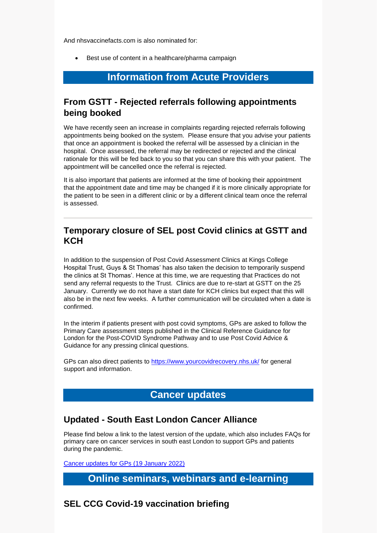And nhsvaccinefacts.com is also nominated for:

• Best use of content in a healthcare/pharma campaign

# **Information from Acute Providers**

# **From GSTT - Rejected referrals following appointments being booked**

We have recently seen an increase in complaints regarding rejected referrals following appointments being booked on the system. Please ensure that you advise your patients that once an appointment is booked the referral will be assessed by a clinician in the hospital. Once assessed, the referral may be redirected or rejected and the clinical rationale for this will be fed back to you so that you can share this with your patient. The appointment will be cancelled once the referral is rejected.

It is also important that patients are informed at the time of booking their appointment that the appointment date and time may be changed if it is more clinically appropriate for the patient to be seen in a different clinic or by a different clinical team once the referral is assessed.

### **Temporary closure of SEL post Covid clinics at GSTT and KCH**

In addition to the suspension of Post Covid Assessment Clinics at Kings College Hospital Trust, Guys & St Thomas' has also taken the decision to temporarily suspend the clinics at St Thomas'. Hence at this time, we are requesting that Practices do not send any referral requests to the Trust. Clinics are due to re-start at GSTT on the 25 January. Currently we do not have a start date for KCH clinics but expect that this will also be in the next few weeks. A further communication will be circulated when a date is confirmed.

In the interim if patients present with post covid symptoms, GPs are asked to follow the Primary Care assessment steps published in the Clinical Reference Guidance for London for the Post-COVID Syndrome Pathway and to use Post Covid Advice & Guidance for any pressing clinical questions.

GPs can also direct patients to<https://www.yourcovidrecovery.nhs.uk/> for general support and information.

# **Cancer updates**

# **Updated - South East London Cancer Alliance**

Please find below a link to the latest version of the update, which also includes FAQs for primary care on cancer services in south east London to support GPs and patients during the pandemic.

[Cancer updates for GPs \(19 January 2022\)](https://selondonccg.nhs.uk/wp-content/uploads/2022/01/SEL-Cancer-Updates-FAQs-for-Primary-Care-19-Jan-2022.pdf) 

# **Online seminars, webinars and e-learning**

# **SEL CCG Covid-19 vaccination briefing**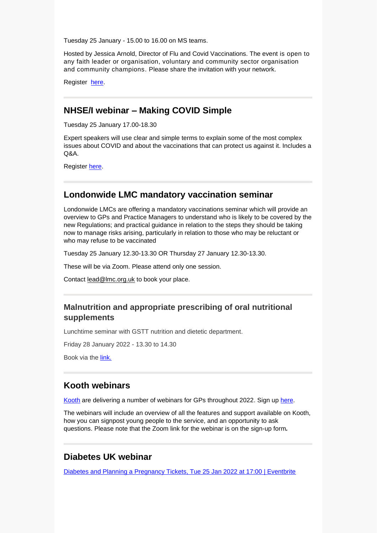Tuesday 25 January - 15.00 to 16.00 on MS teams.

Hosted by Jessica Arnold, Director of Flu and Covid Vaccinations. The event is open to any faith leader or organisation, voluntary and community sector organisation and community champions. Please share the invitation with your network.

Register [here.](https://www.eventbrite.co.uk/e/covid-19-webinar-update-on-vaccination-programme-for-south-east-london-tickets-244373406437)

#### **NHSE/I webinar – Making COVID Simple**

Tuesday 25 January 17.00-18.30

Expert speakers will use clear and simple terms to explain some of the most complex issues about COVID and about the vaccinations that can protect us against it. Includes a  $O&A$ .

Register [here.](https://www.eventbrite.co.uk/e/covid-made-simple-the-complexities-explained-tickets-244529954677?aff=Invite)

#### **Londonwide LMC mandatory vaccination seminar**

Londonwide LMCs are offering a mandatory vaccinations seminar which will provide an overview to GPs and Practice Managers to understand who is likely to be covered by the new Regulations; and practical guidance in relation to the steps they should be taking now to manage risks arising, particularly in relation to those who may be reluctant or who may refuse to be vaccinated

Tuesday 25 January 12.30-13.30 OR Thursday 27 January 12.30-13.30.

These will be via Zoom. Please attend only one session.

Contact [lead@lmc.org.uk](mailto:lead@lmc.org.uk) to book your place.

#### **Malnutrition and appropriate prescribing of oral nutritional supplements**

Lunchtime seminar with GSTT nutrition and dietetic department.

Friday 28 January 2022 - 13.30 to 14.30

Book via the [link.](https://www.eventbrite.co.uk/e/malnutrition-and-appropriate-prescribing-of-oral-nutritional-supplements-tickets-225757947097)

#### **Kooth webinars**

[Kooth](https://explore.kooth.com/gp/) are delivering a number of webinars for GPs throughout 2022. Sign up [here.](https://docs.google.com/forms/d/1IhSKQvhSiOv5DfSzwBWm30_rs4iKSgoT6WBWJaDeOEs/edit?ts=61b8bf50)

The webinars will include an overview of all the features and support available on Kooth, how you can signpost young people to the service, and an opportunity to ask questions. Please note that the Zoom link for the webinar is on the sign-up form*.*

#### **Diabetes UK webinar**

[Diabetes and Planning a Pregnancy Tickets, Tue 25 Jan 2022 at 17:00 | Eventbrite](https://www.eventbrite.co.uk/e/diabetes-and-planning-a-pregnancy-tickets-225780163547)